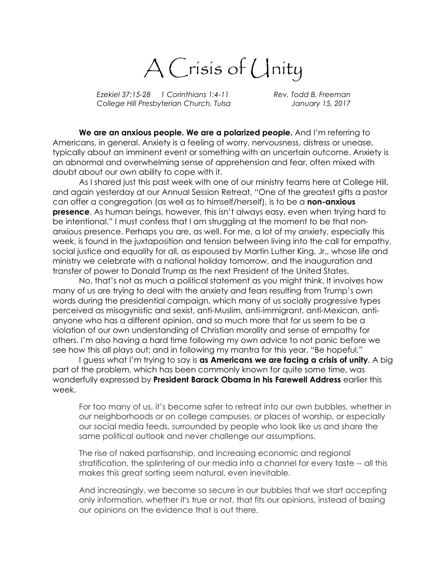A Crisis of Unity

Ezekiel 37:15-28 1 Corinthians 1:4-11 Rev. Todd B. Freeman College Hill Presbyterian Church, Tulsa January 15, 2017

We are an anxious people. We are a polarized people. And I'm referring to Americans, in general. Anxiety is a feeling of worry, nervousness, distress or unease, typically about an imminent event or something with an uncertain outcome. Anxiety is an abnormal and overwhelming sense of apprehension and fear, often mixed with doubt about our own ability to cope with it.

As I shared just this past week with one of our ministry teams here at College Hill, and again yesterday at our Annual Session Retreat, "One of the greatest gifts a pastor can offer a congregation (as well as to himself/herself), is to be a **non-anxious presence.** As human beings, however, this isn't always easy, even when trying hard to be intentional." I must confess that I am struggling at the moment to be that nonanxious presence. Perhaps you are, as well. For me, a lot of my anxiety, especially this week, is found in the juxtaposition and tension between living into the call for empathy, social justice and equality for all, as espoused by Martin Luther King, Jr., whose life and ministry we celebrate with a national holiday tomorrow, and the inauguration and transfer of power to Donald Trump as the next President of the United States.

No, that's not as much a political statement as you might think. It involves how many of us are trying to deal with the anxiety and fears resulting from Trump's own words during the presidential campaign, which many of us socially progressive types perceived as misogynistic and sexist, anti-Muslim, anti-immigrant, anti-Mexican, antianyone who has a different opinion, and so much more that for us seem to be a violation of our own understanding of Christian morality and sense of empathy for others. I'm also having a hard time following my own advice to not panic before we see how this all plays out; and in following my mantra for this year, "Be hopeful."

I guess what I'm trying to say is as Americans we are facing a crisis of unity. A big part of the problem, which has been commonly known for quite some time, was wonderfully expressed by President Barack Obama in his Farewell Address earlier this week.

For too many of us, it's become safer to retreat into our own bubbles, whether in our neighborhoods or on college campuses, or places of worship, or especially our social media feeds, surrounded by people who look like us and share the same political outlook and never challenge our assumptions.

The rise of naked partisanship, and increasing economic and regional stratification, the splintering of our media into a channel for every taste -- all this makes this great sorting seem natural, even inevitable.

And increasingly, we become so secure in our bubbles that we start accepting only information, whether it's true or not, that fits our opinions, instead of basing our opinions on the evidence that is out there.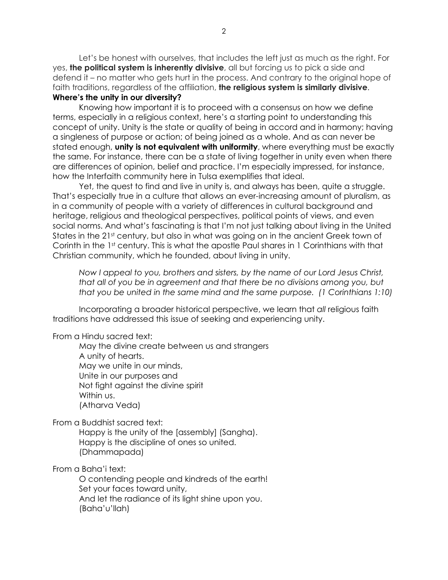Let's be honest with ourselves, that includes the left just as much as the right. For yes, the political system is inherently divisive, all but forcing us to pick a side and defend it – no matter who gets hurt in the process. And contrary to the original hope of faith traditions, regardless of the affiliation, the religious system is similarly divisive. Where's the unity in our diversity?

Knowing how important it is to proceed with a consensus on how we define terms, especially in a religious context, here's a starting point to understanding this concept of unity. Unity is the state or quality of being in accord and in harmony; having a singleness of purpose or action; of being joined as a whole. And as can never be stated enough, unity is not equivalent with uniformity, where everything must be exactly the same. For instance, there can be a state of living together in unity even when there are differences of opinion, belief and practice. I'm especially impressed, for instance, how the Interfaith community here in Tulsa exemplifies that ideal.

Yet, the quest to find and live in unity is, and always has been, quite a struggle. That's especially true in a culture that allows an ever-increasing amount of pluralism, as in a community of people with a variety of differences in cultural background and heritage, religious and theological perspectives, political points of views, and even social norms. And what's fascinating is that I'm not just talking about living in the United States in the 21st century, but also in what was going on in the ancient Greek town of Corinth in the 1st century. This is what the apostle Paul shares in 1 Corinthians with that Christian community, which he founded, about living in unity.

Now I appeal to you, brothers and sisters, by the name of our Lord Jesus Christ, that all of you be in agreement and that there be no divisions among you, but that you be united in the same mind and the same purpose. (1 Corinthians 1:10)

Incorporating a broader historical perspective, we learn that all religious faith traditions have addressed this issue of seeking and experiencing unity.

From a Hindu sacred text:

May the divine create between us and strangers A unity of hearts. May we unite in our minds, Unite in our purposes and Not fight against the divine spirit Within us. (Atharva Veda)

From a Buddhist sacred text:

Happy is the unity of the [assembly] (Sangha). Happy is the discipline of ones so united. (Dhammapada)

From a Baha'i text:

O contending people and kindreds of the earth! Set your faces toward unity, And let the radiance of its light shine upon you. (Baha'u'llah)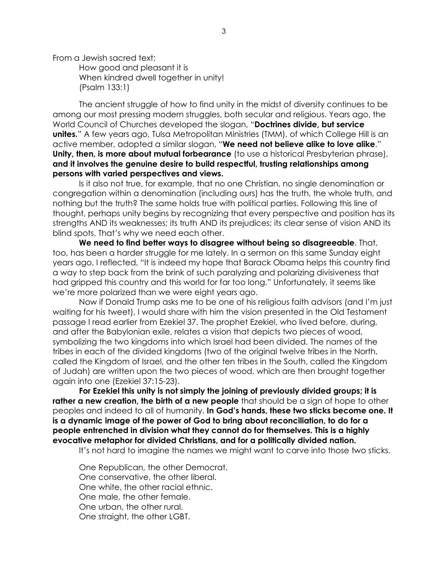From a Jewish sacred text:

How good and pleasant it is When kindred dwell together in unity! (Psalm 133:1)

The ancient struggle of how to find unity in the midst of diversity continues to be among our most pressing modern struggles, both secular and religious. Years ago, the World Council of Churches developed the slogan, "Doctrines divide, but service **unites.**" A few years ago, Tulsa Metropolitan Ministries (TMM), of which College Hill is an active member, adopted a similar slogan, "We need not believe alike to love alike." Unity, then, is more about mutual forbearance (to use a historical Presbyterian phrase), and it involves the genuine desire to build respectful, trusting relationships among persons with varied perspectives and views.

Is it also not true, for example, that no one Christian, no single denomination or congregation within a denomination (including ours) has the truth, the whole truth, and nothing but the truth? The same holds true with political parties. Following this line of thought, perhaps unity begins by recognizing that every perspective and position has its strengths AND its weaknesses; its truth AND its prejudices; its clear sense of vision AND its blind spots. That's why we need each other.

We need to find better ways to disagree without being so disagreeable. That, too, has been a harder struggle for me lately. In a sermon on this same Sunday eight years ago, I reflected, "It is indeed my hope that Barack Obama helps this country find a way to step back from the brink of such paralyzing and polarizing divisiveness that had gripped this country and this world for far too long." Unfortunately, it seems like we're more polarized than we were eight years ago.

Now if Donald Trump asks me to be one of his religious faith advisors (and I'm just waiting for his tweet), I would share with him the vision presented in the Old Testament passage I read earlier from Ezekiel 37. The prophet Ezekiel, who lived before, during, and after the Babylonian exile, relates a vision that depicts two pieces of wood, symbolizing the two kingdoms into which Israel had been divided. The names of the tribes in each of the divided kingdoms (two of the original twelve tribes in the North, called the Kingdom of Israel, and the other ten tribes in the South, called the Kingdom of Judah) are written upon the two pieces of wood, which are then brought together again into one (Ezekiel 37:15-23).

For Ezekiel this unity is not simply the joining of previously divided groups; it is rather a new creation, the birth of a new people that should be a sign of hope to other peoples and indeed to all of humanity. In God's hands, these two sticks become one. It is a dynamic image of the power of God to bring about reconciliation, to do for a people entrenched in division what they cannot do for themselves. This is a highly evocative metaphor for divided Christians, and for a politically divided nation.

It's not hard to imagine the names we might want to carve into those two sticks.

One Republican, the other Democrat. One conservative, the other liberal. One white, the other racial ethnic. One male, the other female. One urban, the other rural. One straight, the other LGBT.